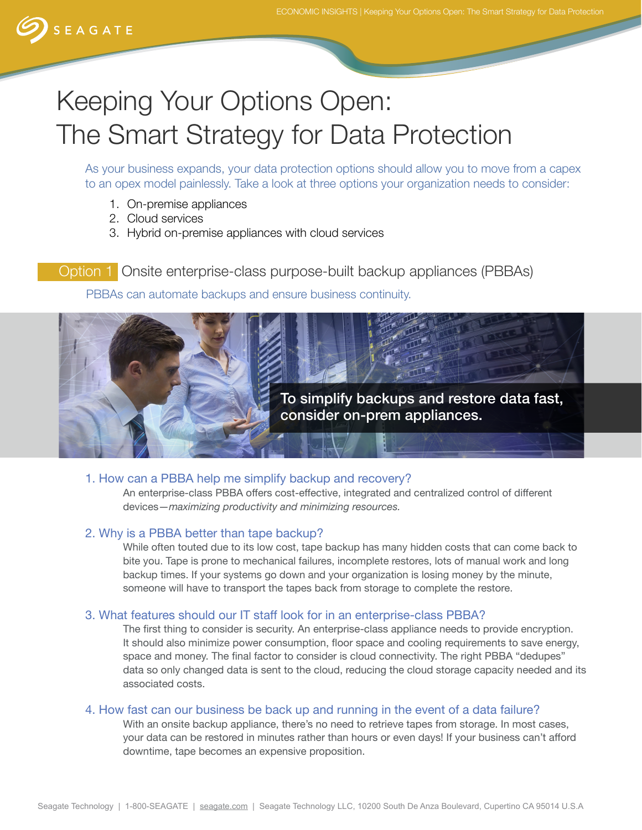

# Keeping Your Options Open: The Smart Strategy for Data Protection

As your business expands, your data protection options should allow you to move from a capex to an opex model painlessly. Take a look at three options your organization needs to consider:

- 1. On-premise appliances
- 2. Cloud services
- 3. Hybrid on-premise appliances with cloud services

Option 1 Onsite enterprise-class purpose-built backup appliances (PBBAs)

PBBAs can automate backups and ensure business continuity.



#### 1. How can a PBBA help me simplify backup and recovery?

An enterprise-class PBBA offers cost-effective, integrated and centralized control of different devices—*maximizing productivity and minimizing resources.*

#### 2. Why is a PBBA better than tape backup?

While often touted due to its low cost, tape backup has many hidden costs that can come back to bite you. Tape is prone to mechanical failures, incomplete restores, lots of manual work and long backup times. If your systems go down and your organization is losing money by the minute, someone will have to transport the tapes back from storage to complete the restore.

#### 3. What features should our IT staff look for in an enterprise-class PBBA?

The frst thing to consider is security. An enterprise-class appliance needs to provide encryption. It should also minimize power consumption, floor space and cooling requirements to save energy, space and money. The final factor to consider is cloud connectivity. The right PBBA "dedupes" data so only changed data is sent to the cloud, reducing the cloud storage capacity needed and its associated costs.

#### 4. How fast can our business be back up and running in the event of a data failure?

With an onsite backup appliance, there's no need to retrieve tapes from storage. In most cases, your data can be restored in minutes rather than hours or even days! If your business can't afford downtime, tape becomes an expensive proposition.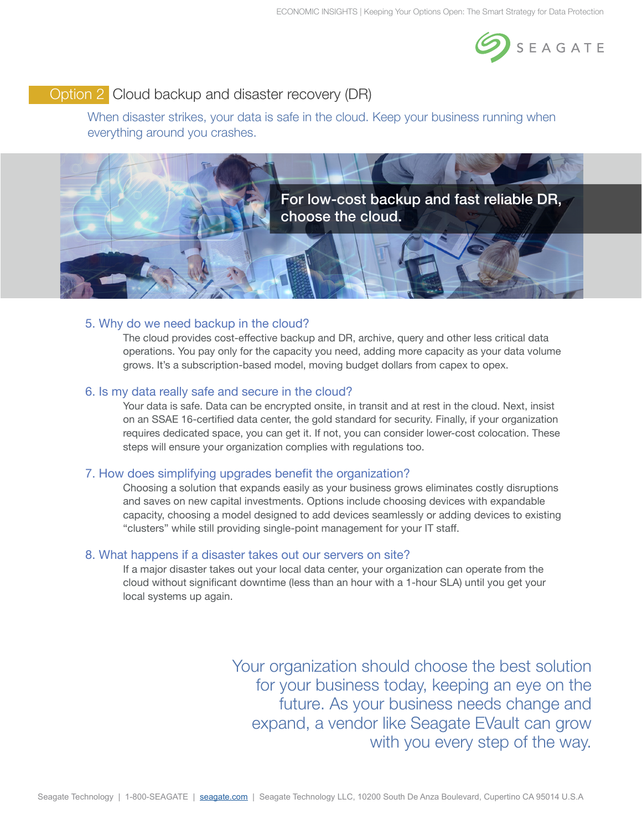

# Option 2 Cloud backup and disaster recovery (DR)

When disaster strikes, your data is safe in the cloud. Keep your business running when everything around you crashes.



### 5. Why do we need backup in the cloud?

The cloud provides cost-effective backup and DR, archive, query and other less critical data operations. You pay only for the capacity you need, adding more capacity as your data volume grows. It's a subscription-based model, moving budget dollars from capex to opex.

#### 6. Is my data really safe and secure in the cloud?

Your data is safe. Data can be encrypted onsite, in transit and at rest in the cloud. Next, insist on an SSAE 16-certifed data center, the gold standard for security. Finally, if your organization requires dedicated space, you can get it. If not, you can consider lower-cost colocation. These steps will ensure your organization complies with regulations too.

#### 7. How does simplifying upgrades benefit the organization?

Choosing a solution that expands easily as your business grows eliminates costly disruptions and saves on new capital investments. Options include choosing devices with expandable capacity, choosing a model designed to add devices seamlessly or adding devices to existing "clusters" while still providing single-point management for your IT staff.

#### 8. What happens if a disaster takes out our servers on site?

If a major disaster takes out your local data center, your organization can operate from the cloud without signifcant downtime (less than an hour with a 1-hour SLA) until you get your local systems up again.

> Your organization should choose the best solution for your business today, keeping an eye on the future. As your business needs change and expand, a vendor like Seagate EVault can grow with you every step of the way.